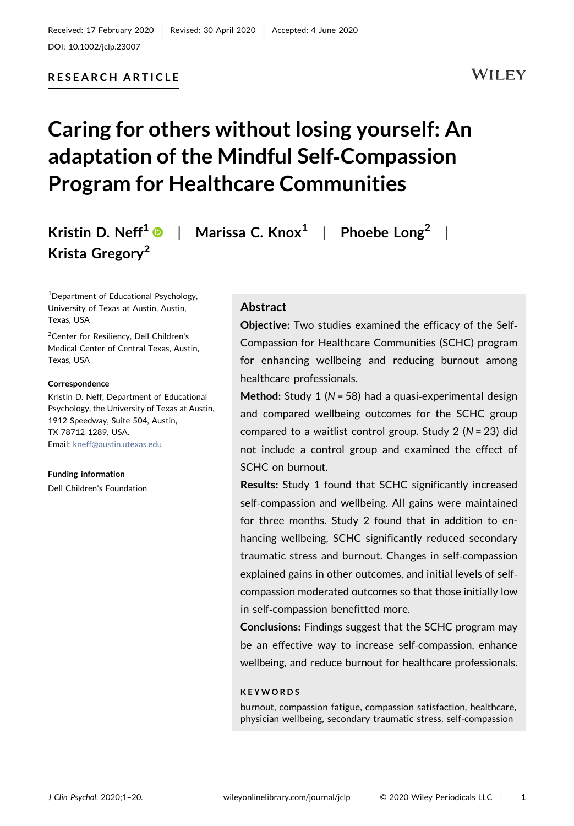WILEY

# Caring for others without losing yourself: An adaptation of the Mindful Self‐Compassion Program for Healthcare Communities

Kristin D. Neff<sup>1</sup>  $\bullet$  | Marissa C. Knox<sup>1</sup> | Phoebe Long<sup>2</sup> | Krista Gregory<sup>2</sup>

<sup>1</sup>Department of Educational Psychology, University of Texas at Austin, Austin, Texas, USA

2 Center for Resiliency, Dell Children's Medical Center of Central Texas, Austin, Texas, USA

#### Correspondence

Kristin D. Neff, Department of Educational Psychology, the University of Texas at Austin, 1912 Speedway, Suite 504, Austin, TX 78712‐1289, USA. Email: [kneff@austin.utexas.edu](mailto:kneff@austin.utexas.edu)

Funding information Dell Children's Foundation

### Abstract

Objective: Two studies examined the efficacy of the Self‐ Compassion for Healthcare Communities (SCHC) program for enhancing wellbeing and reducing burnout among healthcare professionals.

Method: Study 1 ( $N = 58$ ) had a quasi-experimental design and compared wellbeing outcomes for the SCHC group compared to a waitlist control group. Study 2 ( $N = 23$ ) did not include a control group and examined the effect of SCHC on burnout.

Results: Study 1 found that SCHC significantly increased self-compassion and wellbeing. All gains were maintained for three months. Study 2 found that in addition to enhancing wellbeing, SCHC significantly reduced secondary traumatic stress and burnout. Changes in self‐compassion explained gains in other outcomes, and initial levels of self‐ compassion moderated outcomes so that those initially low in self‐compassion benefitted more.

Conclusions: Findings suggest that the SCHC program may be an effective way to increase self‐compassion, enhance wellbeing, and reduce burnout for healthcare professionals.

#### KEYWORDS

burnout, compassion fatigue, compassion satisfaction, healthcare, physician wellbeing, secondary traumatic stress, self‐compassion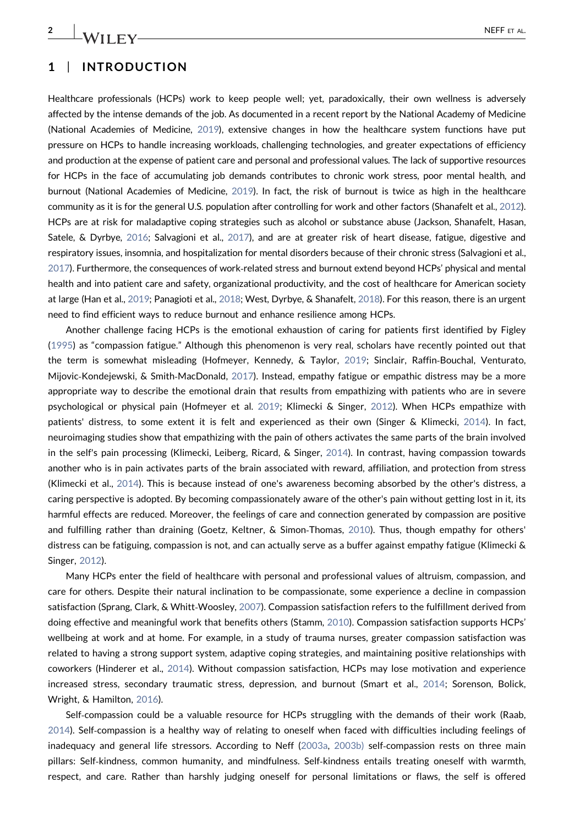### 1 | INTRODUCTION

Healthcare professionals (HCPs) work to keep people well; yet, paradoxically, their own wellness is adversely affected by the intense demands of the job. As documented in a recent report by the National Academy of Medicine (National Academies of Medicine, [2019\)](#page-18-0), extensive changes in how the healthcare system functions have put pressure on HCPs to handle increasing workloads, challenging technologies, and greater expectations of efficiency and production at the expense of patient care and personal and professional values. The lack of supportive resources for HCPs in the face of accumulating job demands contributes to chronic work stress, poor mental health, and burnout (National Academies of Medicine, [2019\)](#page-18-0). In fact, the risk of burnout is twice as high in the healthcare community as it is for the general U.S. population after controlling for work and other factors (Shanafelt et al., [2012](#page-19-0)). HCPs are at risk for maladaptive coping strategies such as alcohol or substance abuse (Jackson, Shanafelt, Hasan, Satele, & Dyrbye, [2016](#page-17-0); Salvagioni et al., [2017\)](#page-19-1), and are at greater risk of heart disease, fatigue, digestive and respiratory issues, insomnia, and hospitalization for mental disorders because of their chronic stress (Salvagioni et al., [2017\)](#page-19-1). Furthermore, the consequences of work‐related stress and burnout extend beyond HCPs' physical and mental health and into patient care and safety, organizational productivity, and the cost of healthcare for American society at large (Han et al., [2019](#page-17-1); Panagioti et al., [2018](#page-18-1); West, Dyrbye, & Shanafelt, [2018\)](#page-19-2). For this reason, there is an urgent need to find efficient ways to reduce burnout and enhance resilience among HCPs.

Another challenge facing HCPs is the emotional exhaustion of caring for patients first identified by Figley ([1995\)](#page-17-2) as "compassion fatigue." Although this phenomenon is very real, scholars have recently pointed out that the term is somewhat misleading (Hofmeyer, Kennedy, & Taylor, [2019;](#page-17-3) Sinclair, Raffin‐Bouchal, Venturato, Mijovic‐Kondejewski, & Smith‐MacDonald, [2017](#page-19-3)). Instead, empathy fatigue or empathic distress may be a more appropriate way to describe the emotional drain that results from empathizing with patients who are in severe psychological or physical pain (Hofmeyer et al. [2019](#page-17-3); Klimecki & Singer, [2012\)](#page-18-2). When HCPs empathize with patients' distress, to some extent it is felt and experienced as their own (Singer & Klimecki, [2014](#page-19-4)). In fact, neuroimaging studies show that empathizing with the pain of others activates the same parts of the brain involved in the self's pain processing (Klimecki, Leiberg, Ricard, & Singer, [2014\)](#page-18-3). In contrast, having compassion towards another who is in pain activates parts of the brain associated with reward, affiliation, and protection from stress (Klimecki et al., [2014](#page-18-3)). This is because instead of one's awareness becoming absorbed by the other's distress, a caring perspective is adopted. By becoming compassionately aware of the other's pain without getting lost in it, its harmful effects are reduced. Moreover, the feelings of care and connection generated by compassion are positive and fulfilling rather than draining (Goetz, Keltner, & Simon-Thomas, [2010\)](#page-17-4). Thus, though empathy for others' distress can be fatiguing, compassion is not, and can actually serve as a buffer against empathy fatigue (Klimecki & Singer, [2012\)](#page-18-2).

Many HCPs enter the field of healthcare with personal and professional values of altruism, compassion, and care for others. Despite their natural inclination to be compassionate, some experience a decline in compassion satisfaction (Sprang, Clark, & Whitt-Woosley, [2007](#page-19-5)). Compassion satisfaction refers to the fulfillment derived from doing effective and meaningful work that benefits others (Stamm, [2010\)](#page-19-6). Compassion satisfaction supports HCPs' wellbeing at work and at home. For example, in a study of trauma nurses, greater compassion satisfaction was related to having a strong support system, adaptive coping strategies, and maintaining positive relationships with coworkers (Hinderer et al., [2014\)](#page-17-5). Without compassion satisfaction, HCPs may lose motivation and experience increased stress, secondary traumatic stress, depression, and burnout (Smart et al., [2014;](#page-19-7) Sorenson, Bolick, Wright, & Hamilton, [2016\)](#page-19-8).

Self-compassion could be a valuable resource for HCPs struggling with the demands of their work (Raab, [2014](#page-18-4)). Self‐compassion is a healthy way of relating to oneself when faced with difficulties including feelings of inadequacy and general life stressors. According to Neff [\(2003a,](#page-18-5) [2003b\)](#page-18-6) self‐compassion rests on three main pillars: Self‐kindness, common humanity, and mindfulness. Self‐kindness entails treating oneself with warmth, respect, and care. Rather than harshly judging oneself for personal limitations or flaws, the self is offered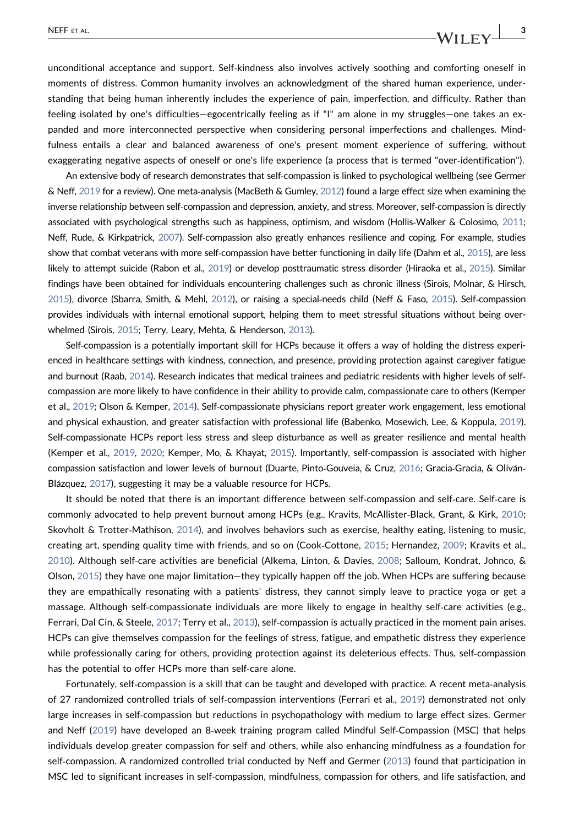unconditional acceptance and support. Self‐kindness also involves actively soothing and comforting oneself in moments of distress. Common humanity involves an acknowledgment of the shared human experience, understanding that being human inherently includes the experience of pain, imperfection, and difficulty. Rather than feeling isolated by one's difficulties—egocentrically feeling as if "I" am alone in my struggles—one takes an expanded and more interconnected perspective when considering personal imperfections and challenges. Mindfulness entails a clear and balanced awareness of one's present moment experience of suffering, without exaggerating negative aspects of oneself or one's life experience (a process that is termed "over‐identification").

An extensive body of research demonstrates that self‐compassion is linked to psychological wellbeing (see Germer & Neff, [2019](#page-17-6) for a review). One meta‐analysis (MacBeth & Gumley, [2012](#page-18-7)) found a large effect size when examining the inverse relationship between self‐compassion and depression, anxiety, and stress. Moreover, self‐compassion is directly associated with psychological strengths such as happiness, optimism, and wisdom (Hollis‐Walker & Colosimo, [2011](#page-17-7); Neff, Rude, & Kirkpatrick, [2007\)](#page-18-8). Self‐compassion also greatly enhances resilience and coping. For example, studies show that combat veterans with more self-compassion have better functioning in daily life (Dahm et al., [2015](#page-17-8)), are less likely to attempt suicide (Rabon et al., [2019\)](#page-19-9) or develop posttraumatic stress disorder (Hiraoka et al., [2015](#page-17-9)). Similar findings have been obtained for individuals encountering challenges such as chronic illness (Sirois, Molnar, & Hirsch, [2015](#page-19-10)), divorce (Sbarra, Smith, & Mehl, [2012](#page-19-11)), or raising a special‐needs child (Neff & Faso, [2015](#page-18-9)). Self‐compassion provides individuals with internal emotional support, helping them to meet stressful situations without being overwhelmed (Sirois, [2015](#page-19-12); Terry, Leary, Mehta, & Henderson, [2013\)](#page-19-13).

Self‐compassion is a potentially important skill for HCPs because it offers a way of holding the distress experienced in healthcare settings with kindness, connection, and presence, providing protection against caregiver fatigue and burnout (Raab, [2014](#page-18-4)). Research indicates that medical trainees and pediatric residents with higher levels of self‐ compassion are more likely to have confidence in their ability to provide calm, compassionate care to others (Kemper et al., [2019;](#page-18-10) Olson & Kemper, [2014](#page-18-11)). Self‐compassionate physicians report greater work engagement, less emotional and physical exhaustion, and greater satisfaction with professional life (Babenko, Mosewich, Lee, & Koppula, [2019](#page-16-0)). Self‐compassionate HCPs report less stress and sleep disturbance as well as greater resilience and mental health (Kemper et al., [2019,](#page-18-10) [2020;](#page-18-12) Kemper, Mo, & Khayat, [2015](#page-18-13)). Importantly, self‐compassion is associated with higher compassion satisfaction and lower levels of burnout (Duarte, Pinto-Gouveia, & Cruz, [2016](#page-17-10); Gracia-Gracia, & Oliván-Blázquez, [2017\)](#page-17-11), suggesting it may be a valuable resource for HCPs.

It should be noted that there is an important difference between self-compassion and self-care. Self-care is commonly advocated to help prevent burnout among HCPs (e.g., Kravits, McAllister‐Black, Grant, & Kirk, [2010](#page-18-14); Skovholt & Trotter‐Mathison, [2014\)](#page-19-14), and involves behaviors such as exercise, healthy eating, listening to music, creating art, spending quality time with friends, and so on (Cook‐Cottone, [2015](#page-17-12); Hernandez, [2009](#page-17-13); Kravits et al., [2010](#page-18-14)). Although self‐care activities are beneficial (Alkema, Linton, & Davies, [2008](#page-16-1); Salloum, Kondrat, Johnco, & Olson, [2015\)](#page-19-15) they have one major limitation—they typically happen off the job. When HCPs are suffering because they are empathically resonating with a patients' distress, they cannot simply leave to practice yoga or get a massage. Although self‐compassionate individuals are more likely to engage in healthy self‐care activities (e.g., Ferrari, Dal Cin, & Steele, [2017](#page-17-14); Terry et al., [2013](#page-19-13)), self‐compassion is actually practiced in the moment pain arises. HCPs can give themselves compassion for the feelings of stress, fatigue, and empathetic distress they experience while professionally caring for others, providing protection against its deleterious effects. Thus, self‐compassion has the potential to offer HCPs more than self-care alone.

Fortunately, self‐compassion is a skill that can be taught and developed with practice. A recent meta‐analysis of 27 randomized controlled trials of self‐compassion interventions (Ferrari et al., [2019\)](#page-17-15) demonstrated not only large increases in self‐compassion but reductions in psychopathology with medium to large effect sizes. Germer and Neff ([2019](#page-17-6)) have developed an 8‐week training program called Mindful Self‐Compassion (MSC) that helps individuals develop greater compassion for self and others, while also enhancing mindfulness as a foundation for self-compassion. A randomized controlled trial conducted by Neff and Germer [\(2013\)](#page-18-15) found that participation in MSC led to significant increases in self‐compassion, mindfulness, compassion for others, and life satisfaction, and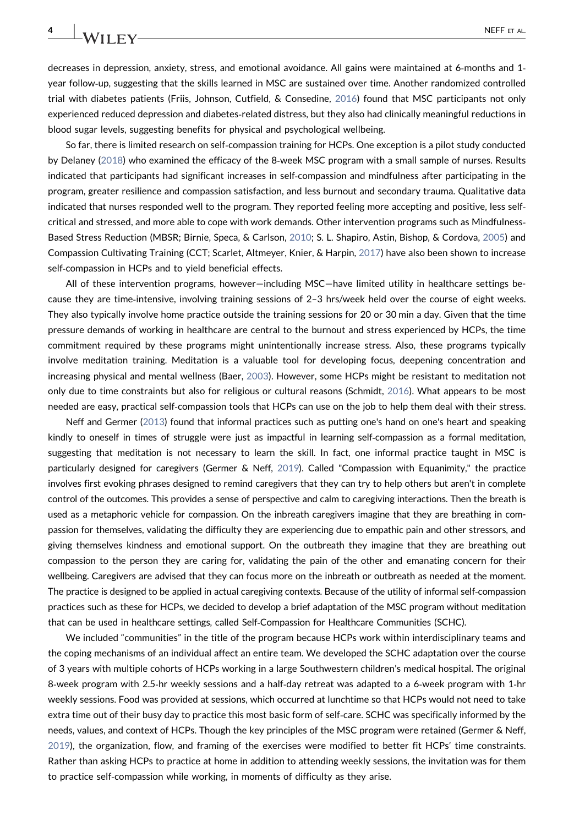decreases in depression, anxiety, stress, and emotional avoidance. All gains were maintained at 6‐months and 1‐ year follow-up, suggesting that the skills learned in MSC are sustained over time. Another randomized controlled trial with diabetes patients (Friis, Johnson, Cutfield, & Consedine, [2016\)](#page-17-16) found that MSC participants not only experienced reduced depression and diabetes-related distress, but they also had clinically meaningful reductions in blood sugar levels, suggesting benefits for physical and psychological wellbeing.

So far, there is limited research on self‐compassion training for HCPs. One exception is a pilot study conducted by Delaney [\(2018\)](#page-17-17) who examined the efficacy of the 8‐week MSC program with a small sample of nurses. Results indicated that participants had significant increases in self‐compassion and mindfulness after participating in the program, greater resilience and compassion satisfaction, and less burnout and secondary trauma. Qualitative data indicated that nurses responded well to the program. They reported feeling more accepting and positive, less self‐ critical and stressed, and more able to cope with work demands. Other intervention programs such as Mindfulness‐ Based Stress Reduction (MBSR; Birnie, Speca, & Carlson, [2010](#page-16-2); S. L. Shapiro, Astin, Bishop, & Cordova, [2005](#page-19-16)) and Compassion Cultivating Training (CCT; Scarlet, Altmeyer, Knier, & Harpin, [2017\)](#page-19-17) have also been shown to increase self-compassion in HCPs and to yield beneficial effects.

All of these intervention programs, however—including MSC—have limited utility in healthcare settings because they are time‐intensive, involving training sessions of 2–3 hrs/week held over the course of eight weeks. They also typically involve home practice outside the training sessions for 20 or 30 min a day. Given that the time pressure demands of working in healthcare are central to the burnout and stress experienced by HCPs, the time commitment required by these programs might unintentionally increase stress. Also, these programs typically involve meditation training. Meditation is a valuable tool for developing focus, deepening concentration and increasing physical and mental wellness (Baer, [2003\)](#page-16-3). However, some HCPs might be resistant to meditation not only due to time constraints but also for religious or cultural reasons (Schmidt, [2016\)](#page-19-18). What appears to be most needed are easy, practical self‐compassion tools that HCPs can use on the job to help them deal with their stress.

Neff and Germer ([2013\)](#page-18-15) found that informal practices such as putting one's hand on one's heart and speaking kindly to oneself in times of struggle were just as impactful in learning self‐compassion as a formal meditation, suggesting that meditation is not necessary to learn the skill. In fact, one informal practice taught in MSC is particularly designed for caregivers (Germer & Neff, [2019\)](#page-17-6). Called "Compassion with Equanimity," the practice involves first evoking phrases designed to remind caregivers that they can try to help others but aren't in complete control of the outcomes. This provides a sense of perspective and calm to caregiving interactions. Then the breath is used as a metaphoric vehicle for compassion. On the inbreath caregivers imagine that they are breathing in compassion for themselves, validating the difficulty they are experiencing due to empathic pain and other stressors, and giving themselves kindness and emotional support. On the outbreath they imagine that they are breathing out compassion to the person they are caring for, validating the pain of the other and emanating concern for their wellbeing. Caregivers are advised that they can focus more on the inbreath or outbreath as needed at the moment. The practice is designed to be applied in actual caregiving contexts. Because of the utility of informal self‐compassion practices such as these for HCPs, we decided to develop a brief adaptation of the MSC program without meditation that can be used in healthcare settings, called Self‐Compassion for Healthcare Communities (SCHC).

We included "communities" in the title of the program because HCPs work within interdisciplinary teams and the coping mechanisms of an individual affect an entire team. We developed the SCHC adaptation over the course of 3 years with multiple cohorts of HCPs working in a large Southwestern children's medical hospital. The original 8‐week program with 2.5‐hr weekly sessions and a half‐day retreat was adapted to a 6‐week program with 1‐hr weekly sessions. Food was provided at sessions, which occurred at lunchtime so that HCPs would not need to take extra time out of their busy day to practice this most basic form of self‐care. SCHC was specifically informed by the needs, values, and context of HCPs. Though the key principles of the MSC program were retained (Germer & Neff, [2019](#page-17-6)), the organization, flow, and framing of the exercises were modified to better fit HCPs' time constraints. Rather than asking HCPs to practice at home in addition to attending weekly sessions, the invitation was for them to practice self‐compassion while working, in moments of difficulty as they arise.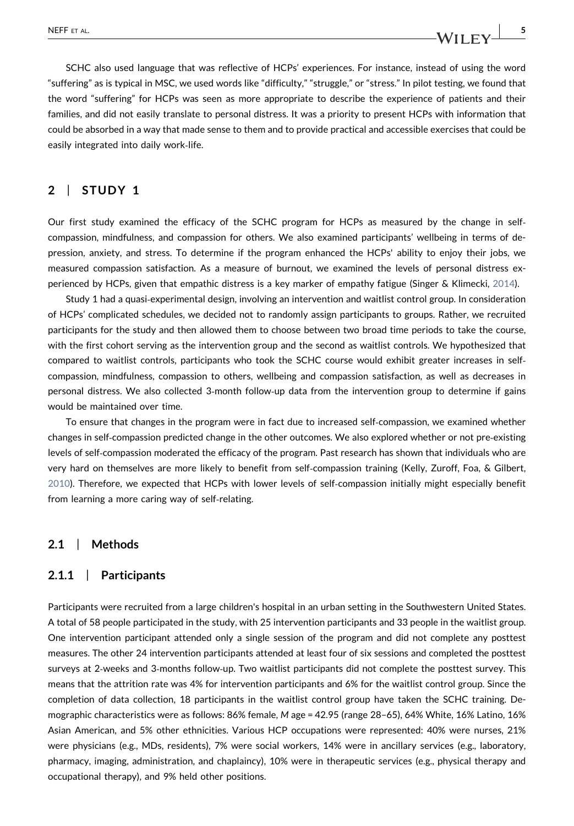SCHC also used language that was reflective of HCPs' experiences. For instance, instead of using the word

"suffering" as is typical in MSC, we used words like "difficulty," "struggle," or "stress." In pilot testing, we found that the word "suffering" for HCPs was seen as more appropriate to describe the experience of patients and their families, and did not easily translate to personal distress. It was a priority to present HCPs with information that could be absorbed in a way that made sense to them and to provide practical and accessible exercises that could be easily integrated into daily work‐life.

### 2 | STUDY 1

Our first study examined the efficacy of the SCHC program for HCPs as measured by the change in self‐ compassion, mindfulness, and compassion for others. We also examined participants' wellbeing in terms of depression, anxiety, and stress. To determine if the program enhanced the HCPs' ability to enjoy their jobs, we measured compassion satisfaction. As a measure of burnout, we examined the levels of personal distress experienced by HCPs, given that empathic distress is a key marker of empathy fatigue (Singer & Klimecki, [2014\)](#page-19-4).

Study 1 had a quasi‐experimental design, involving an intervention and waitlist control group. In consideration of HCPs' complicated schedules, we decided not to randomly assign participants to groups. Rather, we recruited participants for the study and then allowed them to choose between two broad time periods to take the course, with the first cohort serving as the intervention group and the second as waitlist controls. We hypothesized that compared to waitlist controls, participants who took the SCHC course would exhibit greater increases in self‐ compassion, mindfulness, compassion to others, wellbeing and compassion satisfaction, as well as decreases in personal distress. We also collected 3‐month follow‐up data from the intervention group to determine if gains would be maintained over time.

To ensure that changes in the program were in fact due to increased self‐compassion, we examined whether changes in self‐compassion predicted change in the other outcomes. We also explored whether or not pre‐existing levels of self‐compassion moderated the efficacy of the program. Past research has shown that individuals who are very hard on themselves are more likely to benefit from self‐compassion training (Kelly, Zuroff, Foa, & Gilbert, [2010](#page-18-16)). Therefore, we expected that HCPs with lower levels of self‐compassion initially might especially benefit from learning a more caring way of self‐relating.

### 2.1 | Methods

#### 2.1.1 | Participants

Participants were recruited from a large children's hospital in an urban setting in the Southwestern United States. A total of 58 people participated in the study, with 25 intervention participants and 33 people in the waitlist group. One intervention participant attended only a single session of the program and did not complete any posttest measures. The other 24 intervention participants attended at least four of six sessions and completed the posttest surveys at 2‐weeks and 3‐months follow‐up. Two waitlist participants did not complete the posttest survey. This means that the attrition rate was 4% for intervention participants and 6% for the waitlist control group. Since the completion of data collection, 18 participants in the waitlist control group have taken the SCHC training. Demographic characteristics were as follows: 86% female, M age = 42.95 (range 28–65), 64% White, 16% Latino, 16% Asian American, and 5% other ethnicities. Various HCP occupations were represented: 40% were nurses, 21% were physicians (e.g., MDs, residents), 7% were social workers, 14% were in ancillary services (e.g., laboratory, pharmacy, imaging, administration, and chaplaincy), 10% were in therapeutic services (e.g., physical therapy and occupational therapy), and 9% held other positions.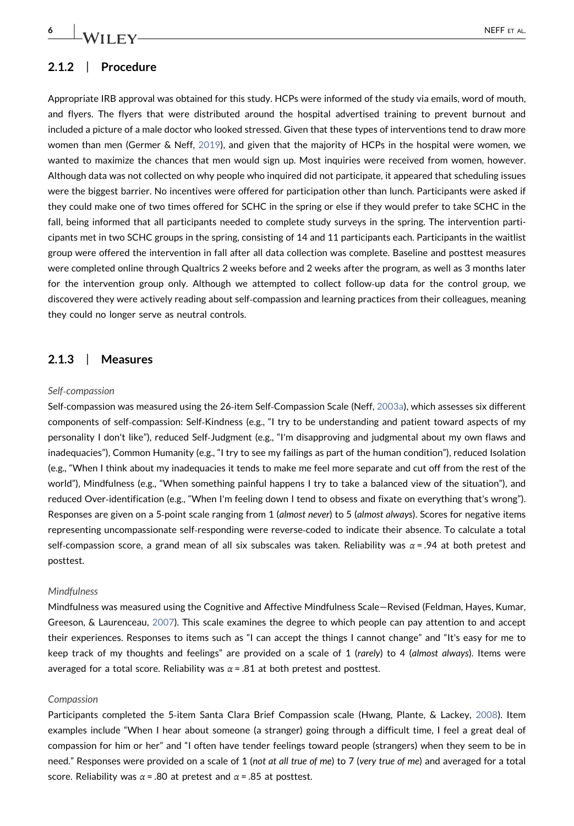### 2.1.2 | Procedure

Appropriate IRB approval was obtained for this study. HCPs were informed of the study via emails, word of mouth, and flyers. The flyers that were distributed around the hospital advertised training to prevent burnout and included a picture of a male doctor who looked stressed. Given that these types of interventions tend to draw more women than men (Germer & Neff, [2019](#page-17-6)), and given that the majority of HCPs in the hospital were women, we wanted to maximize the chances that men would sign up. Most inquiries were received from women, however. Although data was not collected on why people who inquired did not participate, it appeared that scheduling issues were the biggest barrier. No incentives were offered for participation other than lunch. Participants were asked if they could make one of two times offered for SCHC in the spring or else if they would prefer to take SCHC in the fall, being informed that all participants needed to complete study surveys in the spring. The intervention participants met in two SCHC groups in the spring, consisting of 14 and 11 participants each. Participants in the waitlist group were offered the intervention in fall after all data collection was complete. Baseline and posttest measures were completed online through Qualtrics 2 weeks before and 2 weeks after the program, as well as 3 months later for the intervention group only. Although we attempted to collect follow-up data for the control group, we discovered they were actively reading about self‐compassion and learning practices from their colleagues, meaning they could no longer serve as neutral controls.

### 2.1.3 | Measures

#### Self‐compassion

Self‐compassion was measured using the 26‐item Self‐Compassion Scale (Neff, [2003a\)](#page-18-5), which assesses six different components of self‐compassion: Self‐Kindness (e.g., "I try to be understanding and patient toward aspects of my personality I don't like"), reduced Self‐Judgment (e.g., "I'm disapproving and judgmental about my own flaws and inadequacies"), Common Humanity (e.g., "I try to see my failings as part of the human condition"), reduced Isolation (e.g., "When I think about my inadequacies it tends to make me feel more separate and cut off from the rest of the world"), Mindfulness (e.g., "When something painful happens I try to take a balanced view of the situation"), and reduced Over‐identification (e.g., "When I'm feeling down I tend to obsess and fixate on everything that's wrong"). Responses are given on a 5‐point scale ranging from 1 (almost never) to 5 (almost always). Scores for negative items representing uncompassionate self‐responding were reverse‐coded to indicate their absence. To calculate a total self-compassion score, a grand mean of all six subscales was taken. Reliability was  $\alpha$  = .94 at both pretest and posttest.

#### Mindfulness

Mindfulness was measured using the Cognitive and Affective Mindfulness Scale—Revised (Feldman, Hayes, Kumar, Greeson, & Laurenceau, [2007](#page-17-18)). This scale examines the degree to which people can pay attention to and accept their experiences. Responses to items such as "I can accept the things I cannot change" and "It's easy for me to keep track of my thoughts and feelings" are provided on a scale of 1 (rarely) to 4 (almost always). Items were averaged for a total score. Reliability was  $\alpha$  = .81 at both pretest and posttest.

#### Compassion

Participants completed the 5‐item Santa Clara Brief Compassion scale (Hwang, Plante, & Lackey, [2008](#page-17-19)). Item examples include "When I hear about someone (a stranger) going through a difficult time, I feel a great deal of compassion for him or her" and "I often have tender feelings toward people (strangers) when they seem to be in need." Responses were provided on a scale of 1 (not at all true of me) to 7 (very true of me) and averaged for a total score. Reliability was  $\alpha$  = .80 at pretest and  $\alpha$  = .85 at posttest.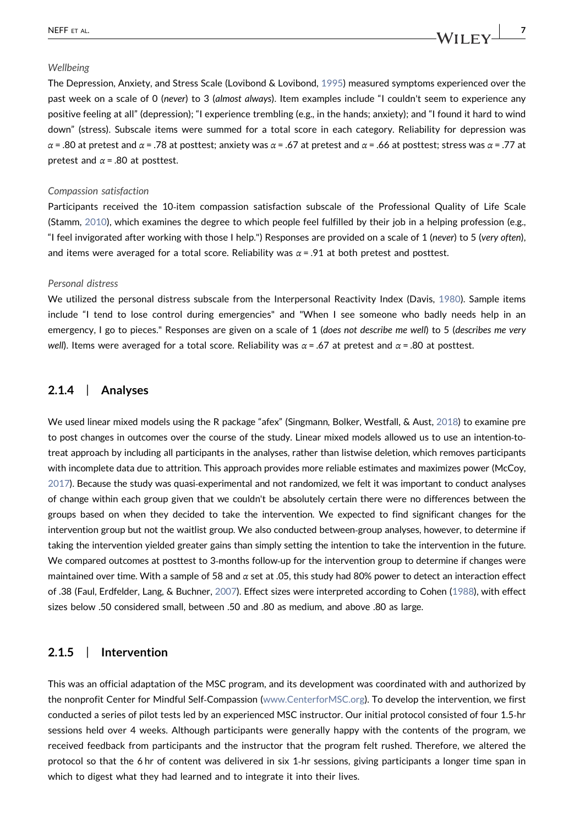#### Wellbeing

The Depression, Anxiety, and Stress Scale (Lovibond & Lovibond, [1995\)](#page-18-17) measured symptoms experienced over the past week on a scale of 0 (never) to 3 (almost always). Item examples include "I couldn't seem to experience any positive feeling at all" (depression); "I experience trembling (e.g., in the hands; anxiety); and "I found it hard to wind down" (stress). Subscale items were summed for a total score in each category. Reliability for depression was α = .80 at pretest and α = .78 at posttest; anxiety was α = .67 at pretest and α = .66 at posttest; stress was α = .77 at pretest and  $\alpha$  = .80 at posttest.

#### Compassion satisfaction

Participants received the 10‐item compassion satisfaction subscale of the Professional Quality of Life Scale (Stamm, [2010](#page-19-6)), which examines the degree to which people feel fulfilled by their job in a helping profession (e.g., "I feel invigorated after working with those I help.") Responses are provided on a scale of 1 (never) to 5 (very often), and items were averaged for a total score. Reliability was  $\alpha = .91$  at both pretest and posttest.

#### Personal distress

We utilized the personal distress subscale from the Interpersonal Reactivity Index (Davis, [1980](#page-17-20)). Sample items include "I tend to lose control during emergencies" and "When I see someone who badly needs help in an emergency, I go to pieces." Responses are given on a scale of 1 (does not describe me well) to 5 (describes me very well). Items were averaged for a total score. Reliability was  $\alpha = .67$  at pretest and  $\alpha = .80$  at posttest.

### 2.1.4 | Analyses

We used linear mixed models using the R package "afex" (Singmann, Bolker, Westfall, & Aust, [2018\)](#page-19-0) to examine pre to post changes in outcomes over the course of the study. Linear mixed models allowed us to use an intention‐to‐ treat approach by including all participants in the analyses, rather than listwise deletion, which removes participants with incomplete data due to attrition. This approach provides more reliable estimates and maximizes power (McCoy, [2017\)](#page-18-18). Because the study was quasi‐experimental and not randomized, we felt it was important to conduct analyses of change within each group given that we couldn't be absolutely certain there were no differences between the groups based on when they decided to take the intervention. We expected to find significant changes for the intervention group but not the waitlist group. We also conducted between‐group analyses, however, to determine if taking the intervention yielded greater gains than simply setting the intention to take the intervention in the future. We compared outcomes at posttest to 3‐months follow‐up for the intervention group to determine if changes were maintained over time. With a sample of 58 and  $\alpha$  set at .05, this study had 80% power to detect an interaction effect of .38 (Faul, Erdfelder, Lang, & Buchner, [2007\)](#page-17-21). Effect sizes were interpreted according to Cohen [\(1988](#page-16-4)), with effect sizes below .50 considered small, between .50 and .80 as medium, and above .80 as large.

### 2.1.5 | Intervention

This was an official adaptation of the MSC program, and its development was coordinated with and authorized by the nonprofit Center for Mindful Self‐Compassion [\(www.CenterforMSC.org\)](http://www.CenterforMSC.org). To develop the intervention, we first conducted a series of pilot tests led by an experienced MSC instructor. Our initial protocol consisted of four 1.5‐hr sessions held over 4 weeks. Although participants were generally happy with the contents of the program, we received feedback from participants and the instructor that the program felt rushed. Therefore, we altered the protocol so that the 6 hr of content was delivered in six 1‐hr sessions, giving participants a longer time span in which to digest what they had learned and to integrate it into their lives.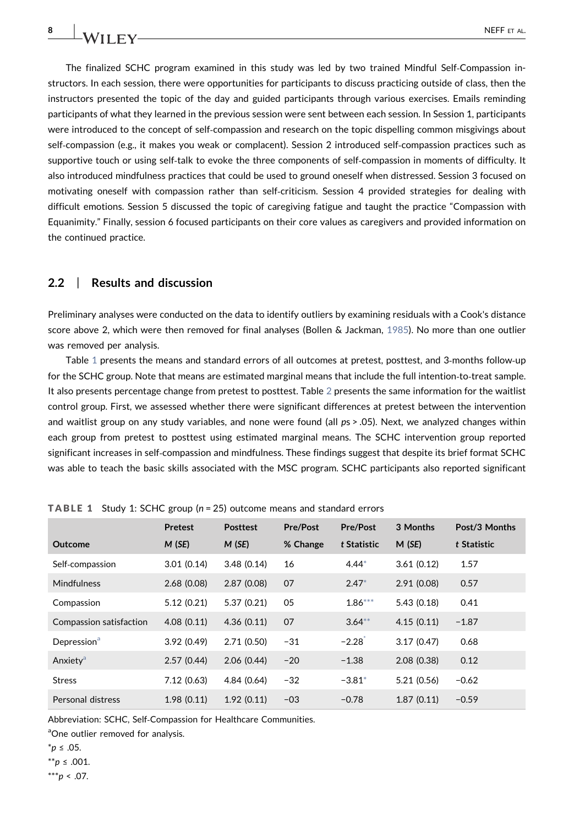The finalized SCHC program examined in this study was led by two trained Mindful Self‐Compassion instructors. In each session, there were opportunities for participants to discuss practicing outside of class, then the instructors presented the topic of the day and guided participants through various exercises. Emails reminding participants of what they learned in the previous session were sent between each session. In Session 1, participants were introduced to the concept of self‐compassion and research on the topic dispelling common misgivings about self‐compassion (e.g., it makes you weak or complacent). Session 2 introduced self‐compassion practices such as supportive touch or using self-talk to evoke the three components of self-compassion in moments of difficulty. It also introduced mindfulness practices that could be used to ground oneself when distressed. Session 3 focused on motivating oneself with compassion rather than self‐criticism. Session 4 provided strategies for dealing with difficult emotions. Session 5 discussed the topic of caregiving fatigue and taught the practice "Compassion with Equanimity." Finally, session 6 focused participants on their core values as caregivers and provided information on the continued practice.

### 2.2 | Results and discussion

Preliminary analyses were conducted on the data to identify outliers by examining residuals with a Cook's distance score above 2, which were then removed for final analyses (Bollen & Jackman, [1985](#page-16-5)). No more than one outlier was removed per analysis.

Table [1](#page-7-0) presents the means and standard errors of all outcomes at pretest, posttest, and 3-months follow-up for the SCHC group. Note that means are estimated marginal means that include the full intention-to-treat sample. It also presents percentage change from pretest to posttest. Table [2](#page-8-0) presents the same information for the waitlist control group. First, we assessed whether there were significant differences at pretest between the intervention and waitlist group on any study variables, and none were found (all ps > .05). Next, we analyzed changes within each group from pretest to posttest using estimated marginal means. The SCHC intervention group reported significant increases in self‐compassion and mindfulness. These findings suggest that despite its brief format SCHC was able to teach the basic skills associated with the MSC program. SCHC participants also reported significant

|                         | <b>Pretest</b> | <b>Posttest</b> | <b>Pre/Post</b> | <b>Pre/Post</b>      | 3 Months   | Post/3 Months |
|-------------------------|----------------|-----------------|-----------------|----------------------|------------|---------------|
| Outcome                 | M(SE)          | M(SE)           | % Change        | t Statistic          | M(SE)      | t Statistic   |
| Self-compassion         | 3.01(0.14)     | 3.48(0.14)      | 16              | $4.44*$              | 3.61(0.12) | 1.57          |
| <b>Mindfulness</b>      | 2.68(0.08)     | 2.87(0.08)      | 07              | $2.47*$              | 2.91(0.08) | 0.57          |
| Compassion              | 5.12(0.21)     | 5.37(0.21)      | 05              | $1.86***$            | 5.43(0.18) | 0.41          |
| Compassion satisfaction | 4.08(0.11)     | 4.36(0.11)      | 07              | $3.64***$            | 4.15(0.11) | $-1.87$       |
| Depression <sup>a</sup> | 3.92(0.49)     | 2.71(0.50)      | $-31$           | $-2.28$ <sup>*</sup> | 3.17(0.47) | 0.68          |
| Anxiety <sup>a</sup>    | 2.57(0.44)     | 2.06(0.44)      | $-20$           | $-1.38$              | 2.08(0.38) | 0.12          |
| <b>Stress</b>           | 7.12(0.63)     | 4.84(0.64)      | $-32$           | $-3.81*$             | 5.21(0.56) | $-0.62$       |
| Personal distress       | 1.98(0.11)     | 1.92(0.11)      | $-03$           | $-0.78$              | 1.87(0.11) | $-0.59$       |

<span id="page-7-0"></span>TABLE 1 Study 1: SCHC group (n = 25) outcome means and standard errors

Abbreviation: SCHC, Self‐Compassion for Healthcare Communities.

<span id="page-7-4"></span>aOne outlier removed for analysis.

<span id="page-7-1"></span>\*p ≤ .05.

<span id="page-7-3"></span> $*$ \**p* ≤ .001.

<span id="page-7-2"></span> $***p < .07$ .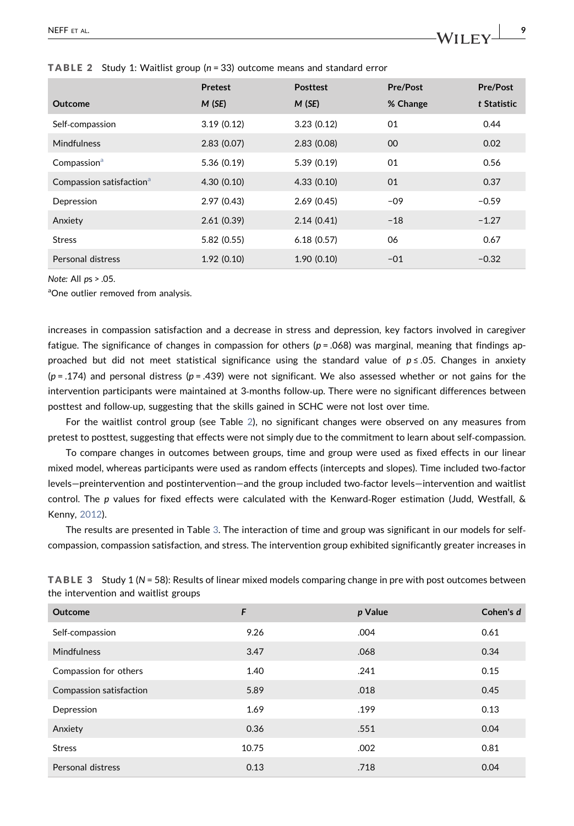|                                      | <b>Pretest</b> | <b>Posttest</b> | <b>Pre/Post</b> | <b>Pre/Post</b> |
|--------------------------------------|----------------|-----------------|-----------------|-----------------|
| Outcome                              | M(SE)          | M(SE)           | % Change        | t Statistic     |
| Self-compassion                      | 3.19(0.12)     | 3.23(0.12)      | 01              | 0.44            |
| Mindfulness                          | 2.83(0.07)     | 2.83(0.08)      | 00              | 0.02            |
| Compassion <sup>a</sup>              | 5.36(0.19)     | 5.39(0.19)      | 01              | 0.56            |
| Compassion satisfaction <sup>a</sup> | 4.30(0.10)     | 4.33(0.10)      | 01              | 0.37            |
| Depression                           | 2.97(0.43)     | 2.69(0.45)      | $-09$           | $-0.59$         |
| Anxiety                              | 2.61(0.39)     | 2.14(0.41)      | $-18$           | $-1.27$         |
| <b>Stress</b>                        | 5.82(0.55)     | 6.18(0.57)      | 06              | 0.67            |
| Personal distress                    | 1.92(0.10)     | 1.90(0.10)      | $-01$           | $-0.32$         |

<span id="page-8-0"></span>**TABLE 2** Study 1: Waitlist group ( $n = 33$ ) outcome means and standard error

Note: All ps > .05.

<span id="page-8-2"></span>aOne outlier removed from analysis.

increases in compassion satisfaction and a decrease in stress and depression, key factors involved in caregiver fatigue. The significance of changes in compassion for others ( $p = .068$ ) was marginal, meaning that findings approached but did not meet statistical significance using the standard value of p ≤ .05. Changes in anxiety  $(p = .174)$  and personal distress  $(p = .439)$  were not significant. We also assessed whether or not gains for the intervention participants were maintained at 3‐months follow‐up. There were no significant differences between posttest and follow‐up, suggesting that the skills gained in SCHC were not lost over time.

For the waitlist control group (see Table [2](#page-8-0)), no significant changes were observed on any measures from pretest to posttest, suggesting that effects were not simply due to the commitment to learn about self‐compassion.

To compare changes in outcomes between groups, time and group were used as fixed effects in our linear mixed model, whereas participants were used as random effects (intercepts and slopes). Time included two‐factor levels—preintervention and postintervention—and the group included two‐factor levels—intervention and waitlist control. The p values for fixed effects were calculated with the Kenward‐Roger estimation (Judd, Westfall, & Kenny, [2012](#page-17-22)).

The results are presented in Table [3](#page-8-1). The interaction of time and group was significant in our models for self‐ compassion, compassion satisfaction, and stress. The intervention group exhibited significantly greater increases in

<span id="page-8-1"></span>

| TABLE 3 Study 1 (N = 58): Results of linear mixed models comparing change in pre with post outcomes between |
|-------------------------------------------------------------------------------------------------------------|
| the intervention and waitlist groups                                                                        |

| Outcome                 | F     | p Value | Cohen's d |
|-------------------------|-------|---------|-----------|
| Self-compassion         | 9.26  | .004    | 0.61      |
| <b>Mindfulness</b>      | 3.47  | .068    | 0.34      |
| Compassion for others   | 1.40  | .241    | 0.15      |
| Compassion satisfaction | 5.89  | .018    | 0.45      |
| Depression              | 1.69  | .199    | 0.13      |
| Anxiety                 | 0.36  | .551    | 0.04      |
| <b>Stress</b>           | 10.75 | .002    | 0.81      |
| Personal distress       | 0.13  | .718    | 0.04      |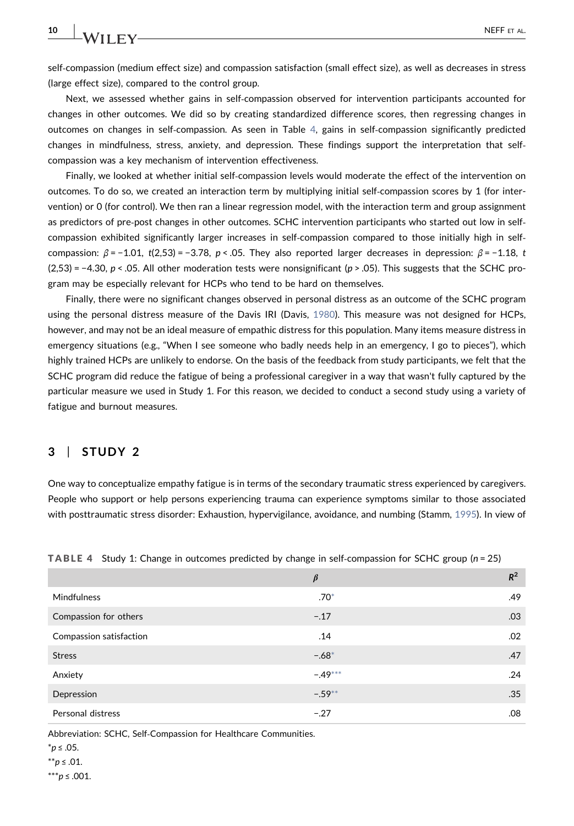self‐compassion (medium effect size) and compassion satisfaction (small effect size), as well as decreases in stress (large effect size), compared to the control group.

Next, we assessed whether gains in self‐compassion observed for intervention participants accounted for changes in other outcomes. We did so by creating standardized difference scores, then regressing changes in outcomes on changes in self‐compassion. As seen in Table [4,](#page-9-0) gains in self‐compassion significantly predicted changes in mindfulness, stress, anxiety, and depression. These findings support the interpretation that self‐ compassion was a key mechanism of intervention effectiveness.

Finally, we looked at whether initial self‐compassion levels would moderate the effect of the intervention on outcomes. To do so, we created an interaction term by multiplying initial self‐compassion scores by 1 (for intervention) or 0 (for control). We then ran a linear regression model, with the interaction term and group assignment as predictors of pre‐post changes in other outcomes. SCHC intervention participants who started out low in self‐ compassion exhibited significantly larger increases in self‐compassion compared to those initially high in self‐ compassion:  $\beta$  = -1.01, t(2,53) = -3.78, p < .05. They also reported larger decreases in depression:  $\beta$  = -1.18, t  $(2,53) = -4.30$ ,  $p < .05$ . All other moderation tests were nonsignificant ( $p > .05$ ). This suggests that the SCHC program may be especially relevant for HCPs who tend to be hard on themselves.

Finally, there were no significant changes observed in personal distress as an outcome of the SCHC program using the personal distress measure of the Davis IRI (Davis, [1980\)](#page-17-20). This measure was not designed for HCPs, however, and may not be an ideal measure of empathic distress for this population. Many items measure distress in emergency situations (e.g., "When I see someone who badly needs help in an emergency, I go to pieces"), which highly trained HCPs are unlikely to endorse. On the basis of the feedback from study participants, we felt that the SCHC program did reduce the fatigue of being a professional caregiver in a way that wasn't fully captured by the particular measure we used in Study 1. For this reason, we decided to conduct a second study using a variety of fatigue and burnout measures.

### $3$  | STUDY 2

One way to conceptualize empathy fatigue is in terms of the secondary traumatic stress experienced by caregivers. People who support or help persons experiencing trauma can experience symptoms similar to those associated with posttraumatic stress disorder: Exhaustion, hypervigilance, avoidance, and numbing (Stamm, [1995\)](#page-19-19). In view of

|                         | $\beta$   | $R^2$ |
|-------------------------|-----------|-------|
| <b>Mindfulness</b>      | $.70*$    | .49   |
| Compassion for others   | $-.17$    | .03   |
| Compassion satisfaction | .14       | .02   |
| <b>Stress</b>           | $-.68*$   | .47   |
| Anxiety                 | $-.49***$ | .24   |
| Depression              | $-.59**$  | .35   |
| Personal distress       | $-.27$    | .08   |

<span id="page-9-0"></span>**TABLE 4** Study 1: Change in outcomes predicted by change in self-compassion for SCHC group ( $n = 25$ )

Abbreviation: SCHC, Self‐Compassion for Healthcare Communities.

<span id="page-9-3"></span>\*\*p ≤ .01.

<span id="page-9-2"></span> $***p$  ≤ .001.

<span id="page-9-1"></span><sup>\*</sup>p ≤ .05.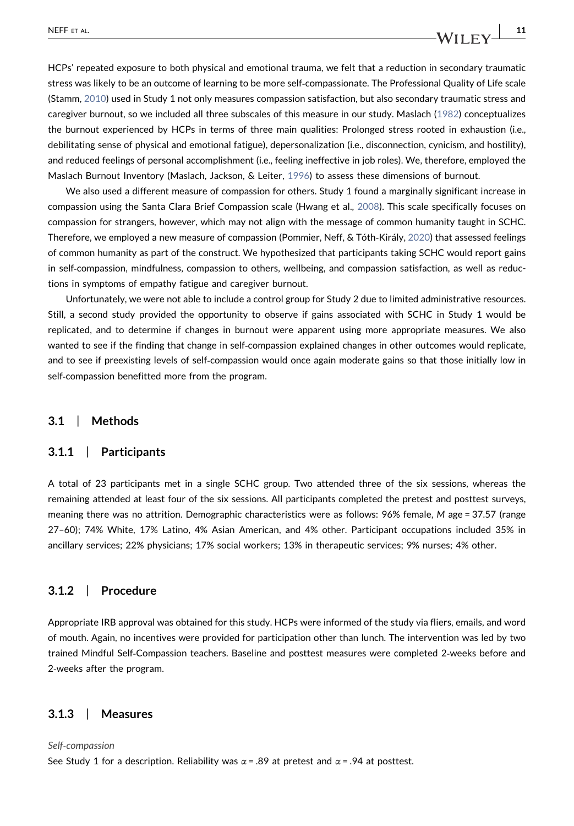HCPs' repeated exposure to both physical and emotional trauma, we felt that a reduction in secondary traumatic stress was likely to be an outcome of learning to be more self‐compassionate. The Professional Quality of Life scale (Stamm, [2010\)](#page-19-6) used in Study 1 not only measures compassion satisfaction, but also secondary traumatic stress and caregiver burnout, so we included all three subscales of this measure in our study. Maslach ([1982\)](#page-18-19) conceptualizes the burnout experienced by HCPs in terms of three main qualities: Prolonged stress rooted in exhaustion (i.e., debilitating sense of physical and emotional fatigue), depersonalization (i.e., disconnection, cynicism, and hostility), and reduced feelings of personal accomplishment (i.e., feeling ineffective in job roles). We, therefore, employed the Maslach Burnout Inventory (Maslach, Jackson, & Leiter, [1996](#page-18-20)) to assess these dimensions of burnout.

We also used a different measure of compassion for others. Study 1 found a marginally significant increase in compassion using the Santa Clara Brief Compassion scale (Hwang et al., [2008](#page-17-19)). This scale specifically focuses on compassion for strangers, however, which may not align with the message of common humanity taught in SCHC. Therefore, we employed a new measure of compassion (Pommier, Neff, & Tóth‐Király, [2020](#page-18-21)) that assessed feelings of common humanity as part of the construct. We hypothesized that participants taking SCHC would report gains in self-compassion, mindfulness, compassion to others, wellbeing, and compassion satisfaction, as well as reductions in symptoms of empathy fatigue and caregiver burnout.

Unfortunately, we were not able to include a control group for Study 2 due to limited administrative resources. Still, a second study provided the opportunity to observe if gains associated with SCHC in Study 1 would be replicated, and to determine if changes in burnout were apparent using more appropriate measures. We also wanted to see if the finding that change in self-compassion explained changes in other outcomes would replicate, and to see if preexisting levels of self‐compassion would once again moderate gains so that those initially low in self-compassion benefitted more from the program.

### 3.1 | Methods

### 3.1.1 | Participants

A total of 23 participants met in a single SCHC group. Two attended three of the six sessions, whereas the remaining attended at least four of the six sessions. All participants completed the pretest and posttest surveys, meaning there was no attrition. Demographic characteristics were as follows: 96% female, M age = 37.57 (range 27–60); 74% White, 17% Latino, 4% Asian American, and 4% other. Participant occupations included 35% in ancillary services; 22% physicians; 17% social workers; 13% in therapeutic services; 9% nurses; 4% other.

### 3.1.2 | Procedure

Appropriate IRB approval was obtained for this study. HCPs were informed of the study via fliers, emails, and word of mouth. Again, no incentives were provided for participation other than lunch. The intervention was led by two trained Mindful Self‐Compassion teachers. Baseline and posttest measures were completed 2‐weeks before and 2‐weeks after the program.

#### 3.1.3 | Measures

#### Self‐compassion

See Study 1 for a description. Reliability was  $\alpha = .89$  at pretest and  $\alpha = .94$  at posttest.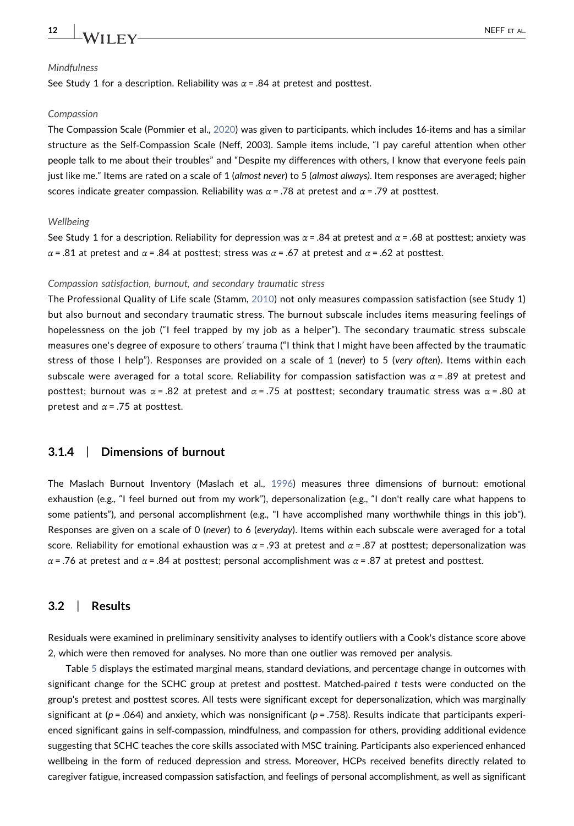

#### Mindfulness

See Study 1 for a description. Reliability was  $\alpha$  = .84 at pretest and posttest.

#### Compassion

The Compassion Scale (Pommier et al., [2020\)](#page-18-21) was given to participants, which includes 16‐items and has a similar structure as the Self‐Compassion Scale (Neff, 2003). Sample items include, "I pay careful attention when other people talk to me about their troubles" and "Despite my differences with others, I know that everyone feels pain just like me." Items are rated on a scale of 1 (almost never) to 5 (almost always). Item responses are averaged; higher scores indicate greater compassion. Reliability was  $\alpha = .78$  at pretest and  $\alpha = .79$  at posttest.

#### Wellbeing

See Study 1 for a description. Reliability for depression was  $\alpha$  = .84 at pretest and  $\alpha$  = .68 at posttest; anxiety was α = .81 at pretest and α = .84 at posttest; stress was α = .67 at pretest and α = .62 at posttest.

#### Compassion satisfaction, burnout, and secondary traumatic stress

The Professional Quality of Life scale (Stamm, [2010\)](#page-19-6) not only measures compassion satisfaction (see Study 1) but also burnout and secondary traumatic stress. The burnout subscale includes items measuring feelings of hopelessness on the job ("I feel trapped by my job as a helper"). The secondary traumatic stress subscale measures one's degree of exposure to others' trauma ("I think that I might have been affected by the traumatic stress of those I help"). Responses are provided on a scale of 1 (never) to 5 (very often). Items within each subscale were averaged for a total score. Reliability for compassion satisfaction was  $\alpha$  = .89 at pretest and posttest; burnout was  $\alpha$  = .82 at pretest and  $\alpha$  = .75 at posttest; secondary traumatic stress was  $\alpha$  = .80 at pretest and  $\alpha$  = .75 at posttest.

### 3.1.4 | Dimensions of burnout

The Maslach Burnout Inventory (Maslach et al., [1996](#page-18-20)) measures three dimensions of burnout: emotional exhaustion (e.g., "I feel burned out from my work"), depersonalization (e.g., "I don't really care what happens to some patients"), and personal accomplishment (e.g., "I have accomplished many worthwhile things in this job"). Responses are given on a scale of 0 (never) to 6 (everyday). Items within each subscale were averaged for a total score. Reliability for emotional exhaustion was  $\alpha$  = .93 at pretest and  $\alpha$  = .87 at posttest; depersonalization was α = .76 at pretest and α = .84 at posttest; personal accomplishment was  $\alpha$  = .87 at pretest and posttest.

#### 3.2 | Results

Residuals were examined in preliminary sensitivity analyses to identify outliers with a Cook's distance score above 2, which were then removed for analyses. No more than one outlier was removed per analysis.

Table [5](#page-12-0) displays the estimated marginal means, standard deviations, and percentage change in outcomes with significant change for the SCHC group at pretest and posttest. Matched-paired  $t$  tests were conducted on the group's pretest and posttest scores. All tests were significant except for depersonalization, which was marginally significant at ( $p = .064$ ) and anxiety, which was nonsignificant ( $p = .758$ ). Results indicate that participants experienced significant gains in self-compassion, mindfulness, and compassion for others, providing additional evidence suggesting that SCHC teaches the core skills associated with MSC training. Participants also experienced enhanced wellbeing in the form of reduced depression and stress. Moreover, HCPs received benefits directly related to caregiver fatigue, increased compassion satisfaction, and feelings of personal accomplishment, as well as significant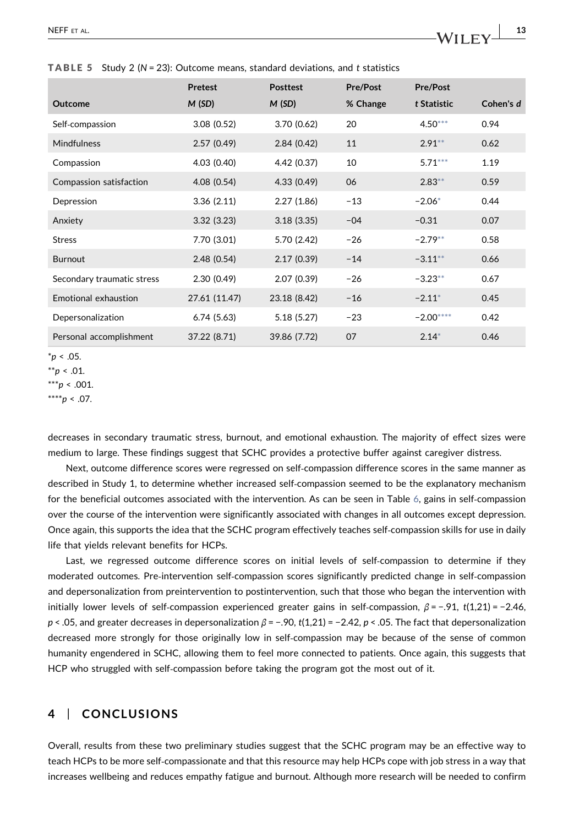<span id="page-12-0"></span>**TABLE 5** Study 2 ( $N = 23$ ): Outcome means, standard deviations, and t statistics

|                            | <b>Pretest</b> | <b>Posttest</b> | Pre/Post | <b>Pre/Post</b> |           |
|----------------------------|----------------|-----------------|----------|-----------------|-----------|
| <b>Outcome</b>             | M(SD)          | M(SD)           | % Change | t Statistic     | Cohen's d |
| Self-compassion            | 3.08(0.52)     | 3.70(0.62)      | 20       | $4.50***$       | 0.94      |
| <b>Mindfulness</b>         | 2.57(0.49)     | 2.84(0.42)      | 11       | $2.91**$        | 0.62      |
| Compassion                 | 4.03 (0.40)    | 4.42 (0.37)     | 10       | $5.71***$       | 1.19      |
| Compassion satisfaction    | 4.08 (0.54)    | 4.33(0.49)      | 06       | $2.83**$        | 0.59      |
| Depression                 | 3.36(2.11)     | 2.27(1.86)      | $-13$    | $-2.06*$        | 0.44      |
| Anxiety                    | 3.32(3.23)     | 3.18(3.35)      | $-04$    | $-0.31$         | 0.07      |
| <b>Stress</b>              | 7.70 (3.01)    | 5.70 (2.42)     | $-26$    | $-2.79**$       | 0.58      |
| <b>Burnout</b>             | 2.48(0.54)     | 2.17(0.39)      | $-14$    | $-3.11***$      | 0.66      |
| Secondary traumatic stress | 2.30(0.49)     | 2.07 (0.39)     | $-26$    | $-3.23**$       | 0.67      |
| Emotional exhaustion       | 27.61 (11.47)  | 23.18 (8.42)    | $-16$    | $-2.11*$        | 0.45      |
| Depersonalization          | 6.74(5.63)     | 5.18(5.27)      | $-23$    | $-2.00***$      | 0.42      |
| Personal accomplishment    | 37.22 (8.71)   | 39.86 (7.72)    | 07       | $2.14*$         | 0.46      |

<span id="page-12-3"></span> $*_{p}$  < .05.

<span id="page-12-4"></span><span id="page-12-1"></span> $***p$  < .001.  $***p < .07$ .

decreases in secondary traumatic stress, burnout, and emotional exhaustion. The majority of effect sizes were medium to large. These findings suggest that SCHC provides a protective buffer against caregiver distress.

Next, outcome difference scores were regressed on self‐compassion difference scores in the same manner as described in Study 1, to determine whether increased self‐compassion seemed to be the explanatory mechanism for the beneficial outcomes associated with the intervention. As can be seen in Table [6,](#page-13-0) gains in self-compassion over the course of the intervention were significantly associated with changes in all outcomes except depression. Once again, this supports the idea that the SCHC program effectively teaches self‐compassion skills for use in daily life that yields relevant benefits for HCPs.

Last, we regressed outcome difference scores on initial levels of self‐compassion to determine if they moderated outcomes. Pre‐intervention self‐compassion scores significantly predicted change in self‐compassion and depersonalization from preintervention to postintervention, such that those who began the intervention with initially lower levels of self-compassion experienced greater gains in self-compassion,  $\beta$  = -.91, t(1,21) = -2.46, p < .05, and greater decreases in depersonalization  $\beta$  = -.90, t(1,21) = -2.42, p < .05. The fact that depersonalization decreased more strongly for those originally low in self-compassion may be because of the sense of common humanity engendered in SCHC, allowing them to feel more connected to patients. Once again, this suggests that HCP who struggled with self-compassion before taking the program got the most out of it.

### 4 | CONCLUSIONS

Overall, results from these two preliminary studies suggest that the SCHC program may be an effective way to teach HCPs to be more self‐compassionate and that this resource may help HCPs cope with job stress in a way that increases wellbeing and reduces empathy fatigue and burnout. Although more research will be needed to confirm

<span id="page-12-2"></span> $*^{*}p$  < .01.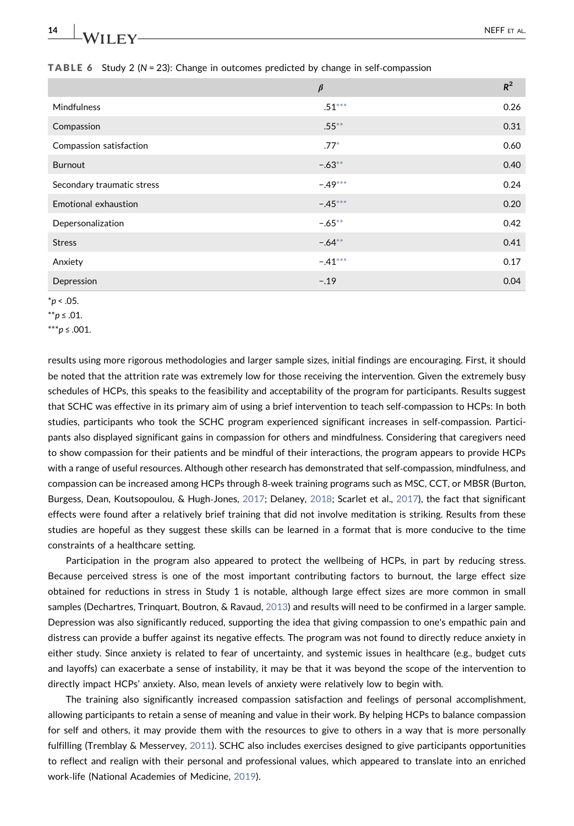| 14<br>$\overline{\phantom{a}}$ | <b>NEFF</b> | ㄱ AL. |  |
|--------------------------------|-------------|-------|--|
|                                |             |       |  |

|                            | $\beta$   | $R^2$ |
|----------------------------|-----------|-------|
| Mindfulness                | $.51***$  | 0.26  |
| Compassion                 | $.55***$  | 0.31  |
| Compassion satisfaction    | $.77*$    | 0.60  |
| <b>Burnout</b>             | $-.63**$  | 0.40  |
| Secondary traumatic stress | $-.49***$ | 0.24  |
| Emotional exhaustion       | $-.45***$ | 0.20  |
| Depersonalization          | $-.65***$ | 0.42  |
| <b>Stress</b>              | $-.64**$  | 0.41  |
| Anxiety                    | $-.41***$ | 0.17  |
| Depression                 | $-.19$    | 0.04  |

<span id="page-13-0"></span>**TABLE 6** Study 2 ( $N = 23$ ): Change in outcomes predicted by change in self-compassion

<span id="page-13-3"></span> $*p < .05$ .

<span id="page-13-2"></span>\*\*p ≤ .01.

<span id="page-13-1"></span>\*\*\*p ≤ .001.

results using more rigorous methodologies and larger sample sizes, initial findings are encouraging. First, it should be noted that the attrition rate was extremely low for those receiving the intervention. Given the extremely busy schedules of HCPs, this speaks to the feasibility and acceptability of the program for participants. Results suggest that SCHC was effective in its primary aim of using a brief intervention to teach self‐compassion to HCPs: In both studies, participants who took the SCHC program experienced significant increases in self‐compassion. Participants also displayed significant gains in compassion for others and mindfulness. Considering that caregivers need to show compassion for their patients and be mindful of their interactions, the program appears to provide HCPs with a range of useful resources. Although other research has demonstrated that self‐compassion, mindfulness, and compassion can be increased among HCPs through 8‐week training programs such as MSC, CCT, or MBSR (Burton, Burgess, Dean, Koutsopoulou, & Hugh-Jones, [2017;](#page-16-6) Delaney, [2018](#page-17-17); Scarlet et al., [2017](#page-19-17)), the fact that significant effects were found after a relatively brief training that did not involve meditation is striking. Results from these studies are hopeful as they suggest these skills can be learned in a format that is more conducive to the time constraints of a healthcare setting.

Participation in the program also appeared to protect the wellbeing of HCPs, in part by reducing stress. Because perceived stress is one of the most important contributing factors to burnout, the large effect size obtained for reductions in stress in Study 1 is notable, although large effect sizes are more common in small samples (Dechartres, Trinquart, Boutron, & Ravaud, [2013](#page-17-23)) and results will need to be confirmed in a larger sample. Depression was also significantly reduced, supporting the idea that giving compassion to one's empathic pain and distress can provide a buffer against its negative effects. The program was not found to directly reduce anxiety in either study. Since anxiety is related to fear of uncertainty, and systemic issues in healthcare (e.g., budget cuts and layoffs) can exacerbate a sense of instability, it may be that it was beyond the scope of the intervention to directly impact HCPs' anxiety. Also, mean levels of anxiety were relatively low to begin with.

The training also significantly increased compassion satisfaction and feelings of personal accomplishment, allowing participants to retain a sense of meaning and value in their work. By helping HCPs to balance compassion for self and others, it may provide them with the resources to give to others in a way that is more personally fulfilling (Tremblay & Messervey, [2011\)](#page-19-20). SCHC also includes exercises designed to give participants opportunities to reflect and realign with their personal and professional values, which appeared to translate into an enriched work‐life (National Academies of Medicine, [2019](#page-18-0)).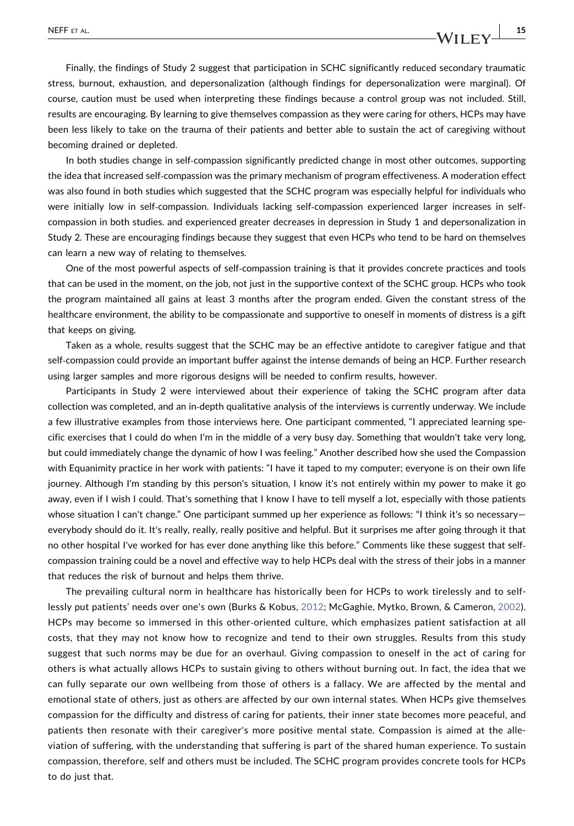Finally, the findings of Study 2 suggest that participation in SCHC significantly reduced secondary traumatic stress, burnout, exhaustion, and depersonalization (although findings for depersonalization were marginal). Of course, caution must be used when interpreting these findings because a control group was not included. Still, results are encouraging. By learning to give themselves compassion as they were caring for others, HCPs may have been less likely to take on the trauma of their patients and better able to sustain the act of caregiving without becoming drained or depleted.

In both studies change in self-compassion significantly predicted change in most other outcomes, supporting the idea that increased self‐compassion was the primary mechanism of program effectiveness. A moderation effect was also found in both studies which suggested that the SCHC program was especially helpful for individuals who were initially low in self-compassion. Individuals lacking self-compassion experienced larger increases in selfcompassion in both studies. and experienced greater decreases in depression in Study 1 and depersonalization in Study 2. These are encouraging findings because they suggest that even HCPs who tend to be hard on themselves can learn a new way of relating to themselves.

One of the most powerful aspects of self‐compassion training is that it provides concrete practices and tools that can be used in the moment, on the job, not just in the supportive context of the SCHC group. HCPs who took the program maintained all gains at least 3 months after the program ended. Given the constant stress of the healthcare environment, the ability to be compassionate and supportive to oneself in moments of distress is a gift that keeps on giving.

Taken as a whole, results suggest that the SCHC may be an effective antidote to caregiver fatigue and that self‐compassion could provide an important buffer against the intense demands of being an HCP. Further research using larger samples and more rigorous designs will be needed to confirm results, however.

Participants in Study 2 were interviewed about their experience of taking the SCHC program after data collection was completed, and an in‐depth qualitative analysis of the interviews is currently underway. We include a few illustrative examples from those interviews here. One participant commented, "I appreciated learning specific exercises that I could do when I'm in the middle of a very busy day. Something that wouldn't take very long, but could immediately change the dynamic of how I was feeling." Another described how she used the Compassion with Equanimity practice in her work with patients: "I have it taped to my computer; everyone is on their own life journey. Although I'm standing by this person's situation, I know it's not entirely within my power to make it go away, even if I wish I could. That's something that I know I have to tell myself a lot, especially with those patients whose situation I can't change." One participant summed up her experience as follows: "I think it's so necessaryeverybody should do it. It's really, really, really positive and helpful. But it surprises me after going through it that no other hospital I've worked for has ever done anything like this before." Comments like these suggest that self‐ compassion training could be a novel and effective way to help HCPs deal with the stress of their jobs in a manner that reduces the risk of burnout and helps them thrive.

The prevailing cultural norm in healthcare has historically been for HCPs to work tirelessly and to selflessly put patients' needs over one's own (Burks & Kobus, [2012](#page-16-7); McGaghie, Mytko, Brown, & Cameron, [2002\)](#page-18-22). HCPs may become so immersed in this other-oriented culture, which emphasizes patient satisfaction at all costs, that they may not know how to recognize and tend to their own struggles. Results from this study suggest that such norms may be due for an overhaul. Giving compassion to oneself in the act of caring for others is what actually allows HCPs to sustain giving to others without burning out. In fact, the idea that we can fully separate our own wellbeing from those of others is a fallacy. We are affected by the mental and emotional state of others, just as others are affected by our own internal states. When HCPs give themselves compassion for the difficulty and distress of caring for patients, their inner state becomes more peaceful, and patients then resonate with their caregiver's more positive mental state. Compassion is aimed at the alleviation of suffering, with the understanding that suffering is part of the shared human experience. To sustain compassion, therefore, self and others must be included. The SCHC program provides concrete tools for HCPs to do just that.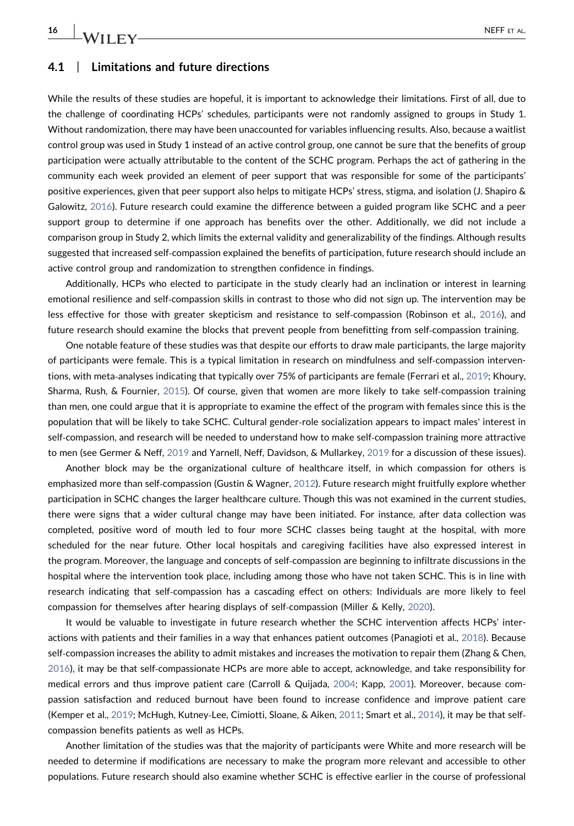$\frac{16}{16}$  WII FV— $\frac{16}{16}$  NEFF ET AL.

### 4.1 | Limitations and future directions

While the results of these studies are hopeful, it is important to acknowledge their limitations. First of all, due to the challenge of coordinating HCPs' schedules, participants were not randomly assigned to groups in Study 1. Without randomization, there may have been unaccounted for variables influencing results. Also, because a waitlist control group was used in Study 1 instead of an active control group, one cannot be sure that the benefits of group participation were actually attributable to the content of the SCHC program. Perhaps the act of gathering in the community each week provided an element of peer support that was responsible for some of the participants' positive experiences, given that peer support also helps to mitigate HCPs' stress, stigma, and isolation (J. Shapiro & Galowitz, [2016\)](#page-19-21). Future research could examine the difference between a guided program like SCHC and a peer support group to determine if one approach has benefits over the other. Additionally, we did not include a comparison group in Study 2, which limits the external validity and generalizability of the findings. Although results suggested that increased self-compassion explained the benefits of participation, future research should include an active control group and randomization to strengthen confidence in findings.

Additionally, HCPs who elected to participate in the study clearly had an inclination or interest in learning emotional resilience and self‐compassion skills in contrast to those who did not sign up. The intervention may be less effective for those with greater skepticism and resistance to self-compassion (Robinson et al., [2016\)](#page-19-22), and future research should examine the blocks that prevent people from benefitting from self-compassion training.

One notable feature of these studies was that despite our efforts to draw male participants, the large majority of participants were female. This is a typical limitation in research on mindfulness and self‐compassion interven-tions, with meta-analyses indicating that typically over 75% of participants are female (Ferrari et al., [2019](#page-17-15); Khoury, Sharma, Rush, & Fournier, [2015](#page-18-23)). Of course, given that women are more likely to take self‐compassion training than men, one could argue that it is appropriate to examine the effect of the program with females since this is the population that will be likely to take SCHC. Cultural gender‐role socialization appears to impact males' interest in self‐compassion, and research will be needed to understand how to make self‐compassion training more attractive to men (see Germer & Neff, [2019](#page-17-6) and Yarnell, Neff, Davidson, & Mullarkey, [2019](#page-19-23) for a discussion of these issues).

Another block may be the organizational culture of healthcare itself, in which compassion for others is emphasized more than self-compassion (Gustin & Wagner, [2012\)](#page-17-24). Future research might fruitfully explore whether participation in SCHC changes the larger healthcare culture. Though this was not examined in the current studies, there were signs that a wider cultural change may have been initiated. For instance, after data collection was completed, positive word of mouth led to four more SCHC classes being taught at the hospital, with more scheduled for the near future. Other local hospitals and caregiving facilities have also expressed interest in the program. Moreover, the language and concepts of self‐compassion are beginning to infiltrate discussions in the hospital where the intervention took place, including among those who have not taken SCHC. This is in line with research indicating that self‐compassion has a cascading effect on others: Individuals are more likely to feel compassion for themselves after hearing displays of self‐compassion (Miller & Kelly, [2020](#page-18-24)).

It would be valuable to investigate in future research whether the SCHC intervention affects HCPs' interactions with patients and their families in a way that enhances patient outcomes (Panagioti et al., [2018](#page-18-1)). Because self-compassion increases the ability to admit mistakes and increases the motivation to repair them (Zhang & Chen, [2016](#page-19-24)), it may be that self‐compassionate HCPs are more able to accept, acknowledge, and take responsibility for medical errors and thus improve patient care (Carroll & Quijada, [2004](#page-16-8); Kapp, [2001](#page-18-25)). Moreover, because compassion satisfaction and reduced burnout have been found to increase confidence and improve patient care (Kemper et al., [2019](#page-18-10); McHugh, Kutney‐Lee, Cimiotti, Sloane, & Aiken, [2011](#page-18-26); Smart et al., [2014\)](#page-19-7), it may be that self‐ compassion benefits patients as well as HCPs.

Another limitation of the studies was that the majority of participants were White and more research will be needed to determine if modifications are necessary to make the program more relevant and accessible to other populations. Future research should also examine whether SCHC is effective earlier in the course of professional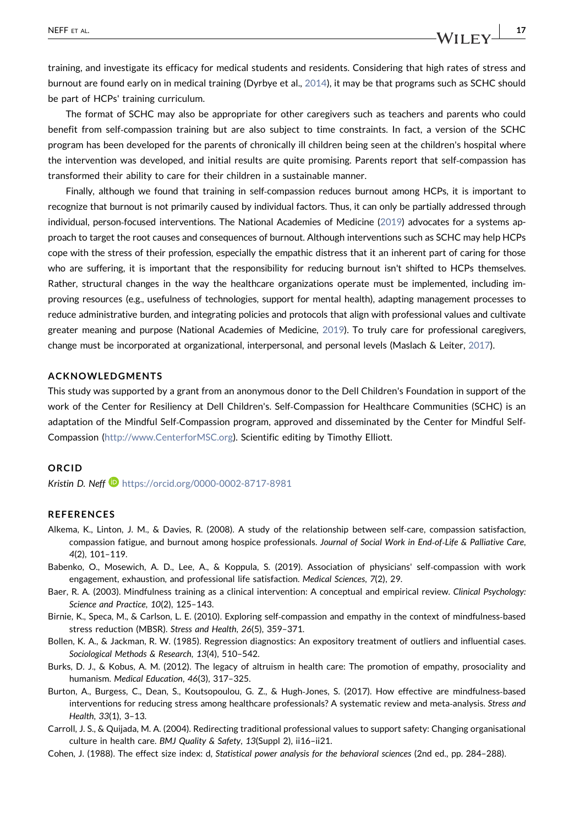training, and investigate its efficacy for medical students and residents. Considering that high rates of stress and burnout are found early on in medical training (Dyrbye et al., [2014](#page-17-25)), it may be that programs such as SCHC should be part of HCPs' training curriculum.

The format of SCHC may also be appropriate for other caregivers such as teachers and parents who could benefit from self‐compassion training but are also subject to time constraints. In fact, a version of the SCHC program has been developed for the parents of chronically ill children being seen at the children's hospital where the intervention was developed, and initial results are quite promising. Parents report that self-compassion has transformed their ability to care for their children in a sustainable manner.

Finally, although we found that training in self-compassion reduces burnout among HCPs, it is important to recognize that burnout is not primarily caused by individual factors. Thus, it can only be partially addressed through individual, person‐focused interventions. The National Academies of Medicine [\(2019](#page-18-0)) advocates for a systems approach to target the root causes and consequences of burnout. Although interventions such as SCHC may help HCPs cope with the stress of their profession, especially the empathic distress that it an inherent part of caring for those who are suffering, it is important that the responsibility for reducing burnout isn't shifted to HCPs themselves. Rather, structural changes in the way the healthcare organizations operate must be implemented, including improving resources (e.g., usefulness of technologies, support for mental health), adapting management processes to reduce administrative burden, and integrating policies and protocols that align with professional values and cultivate greater meaning and purpose (National Academies of Medicine, [2019\)](#page-18-0). To truly care for professional caregivers, change must be incorporated at organizational, interpersonal, and personal levels (Maslach & Leiter, [2017\)](#page-18-27).

#### ACKNOWLEDGMENTS

This study was supported by a grant from an anonymous donor to the Dell Children's Foundation in support of the work of the Center for Resiliency at Dell Children's. Self‐Compassion for Healthcare Communities (SCHC) is an adaptation of the Mindful Self‐Compassion program, approved and disseminated by the Center for Mindful Self‐ Compassion [\(http://www.CenterforMSC.org\)](http://www.CenterforMSC.org). Scientific editing by Timothy Elliott.

### ORCID

Kristin D. Neff<sup>1</sup> <https://orcid.org/0000-0002-8717-8981>

#### REFERENCES

- <span id="page-16-1"></span>Alkema, K., Linton, J. M., & Davies, R. (2008). A study of the relationship between self‐care, compassion satisfaction, compassion fatigue, and burnout among hospice professionals. Journal of Social Work in End-of-Life & Palliative Care, 4(2), 101–119.
- <span id="page-16-0"></span>Babenko, O., Mosewich, A. D., Lee, A., & Koppula, S. (2019). Association of physicians' self-compassion with work engagement, exhaustion, and professional life satisfaction. Medical Sciences, 7(2), 29.
- <span id="page-16-3"></span>Baer, R. A. (2003). Mindfulness training as a clinical intervention: A conceptual and empirical review. Clinical Psychology: Science and Practice, 10(2), 125–143.
- <span id="page-16-2"></span>Birnie, K., Speca, M., & Carlson, L. E. (2010). Exploring self‐compassion and empathy in the context of mindfulness‐based stress reduction (MBSR). Stress and Health, 26(5), 359–371.
- <span id="page-16-5"></span>Bollen, K. A., & Jackman, R. W. (1985). Regression diagnostics: An expository treatment of outliers and influential cases. Sociological Methods & Research, 13(4), 510–542.
- <span id="page-16-7"></span>Burks, D. J., & Kobus, A. M. (2012). The legacy of altruism in health care: The promotion of empathy, prosociality and humanism. Medical Education, 46(3), 317–325.
- <span id="page-16-6"></span>Burton, A., Burgess, C., Dean, S., Koutsopoulou, G. Z., & Hugh‐Jones, S. (2017). How effective are mindfulness‐based interventions for reducing stress among healthcare professionals? A systematic review and meta-analysis. Stress and Health, 33(1), 3–13.
- <span id="page-16-8"></span>Carroll, J. S., & Quijada, M. A. (2004). Redirecting traditional professional values to support safety: Changing organisational culture in health care. BMJ Quality & Safety, 13(Suppl 2), ii16–ii21.
- <span id="page-16-4"></span>Cohen, J. (1988). The effect size index: d, Statistical power analysis for the behavioral sciences (2nd ed., pp. 284–288).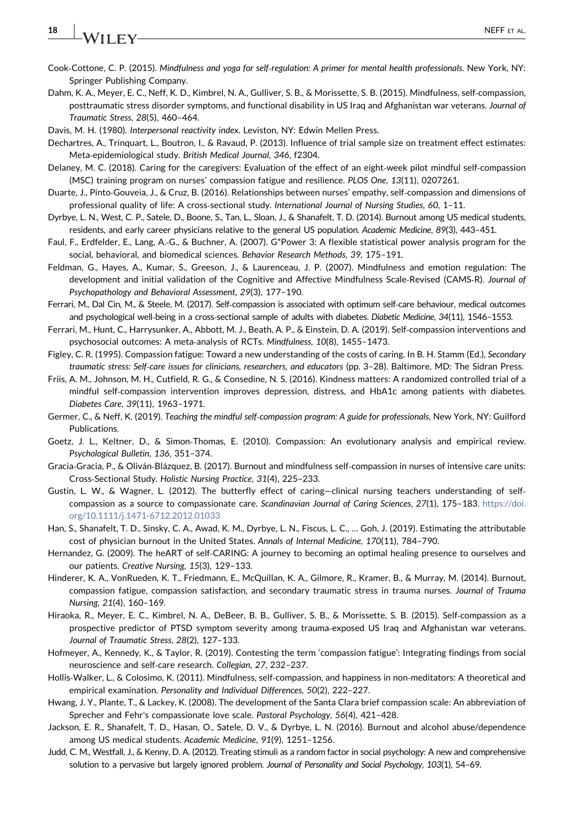## $18$  NA/II EV

- <span id="page-17-12"></span>Cook‐Cottone, C. P. (2015). Mindfulness and yoga for self‐regulation: A primer for mental health professionals. New York, NY: Springer Publishing Company.
- <span id="page-17-8"></span>Dahm, K. A., Meyer, E. C., Neff, K. D., Kimbrel, N. A., Gulliver, S. B., & Morissette, S. B. (2015). Mindfulness, self‐compassion, posttraumatic stress disorder symptoms, and functional disability in US Iraq and Afghanistan war veterans. Journal of Traumatic Stress, 28(5), 460–464.
- <span id="page-17-20"></span>Davis, M. H. (1980). Interpersonal reactivity index. Leviston, NY: Edwin Mellen Press.
- <span id="page-17-23"></span>Dechartres, A., Trinquart, L., Boutron, I., & Ravaud, P. (2013). Influence of trial sample size on treatment effect estimates: Meta‐epidemiological study. British Medical Journal, 346, f2304.
- <span id="page-17-17"></span>Delaney, M. C. (2018). Caring for the caregivers: Evaluation of the effect of an eight‐week pilot mindful self‐compassion (MSC) training program on nurses' compassion fatigue and resilience. PLOS One, 13(11), 0207261.
- <span id="page-17-10"></span>Duarte, J., Pinto‐Gouveia, J., & Cruz, B. (2016). Relationships between nurses' empathy, self‐compassion and dimensions of professional quality of life: A cross-sectional study. International Journal of Nursing Studies, 60, 1-11.
- <span id="page-17-25"></span>Dyrbye, L. N., West, C. P., Satele, D., Boone, S., Tan, L., Sloan, J., & Shanafelt, T. D. (2014). Burnout among US medical students, residents, and early career physicians relative to the general US population. Academic Medicine, 89(3), 443–451.
- <span id="page-17-21"></span>Faul, F., Erdfelder, E., Lang, A.‐G., & Buchner, A. (2007). G\*Power 3: A flexible statistical power analysis program for the social, behavioral, and biomedical sciences. Behavior Research Methods, 39, 175–191.
- <span id="page-17-18"></span>Feldman, G., Hayes, A., Kumar, S., Greeson, J., & Laurenceau, J. P. (2007). Mindfulness and emotion regulation: The development and initial validation of the Cognitive and Affective Mindfulness Scale‐Revised (CAMS‐R). Journal of Psychopathology and Behavioral Assessment, 29(3), 177–190.
- <span id="page-17-14"></span>Ferrari, M., Dal Cin, M., & Steele, M. (2017). Self‐compassion is associated with optimum self‐care behaviour, medical outcomes and psychological well-being in a cross-sectional sample of adults with diabetes. Diabetic Medicine, 34(11), 1546-1553.
- <span id="page-17-15"></span>Ferrari, M., Hunt, C., Harrysunker, A., Abbott, M. J., Beath, A. P., & Einstein, D. A. (2019). Self‐compassion interventions and psychosocial outcomes: A meta‐analysis of RCTs. Mindfulness, 10(8), 1455–1473.
- <span id="page-17-2"></span>Figley, C. R. (1995). Compassion fatigue: Toward a new understanding of the costs of caring. In B. H. Stamm (Ed.), Secondary traumatic stress: Self‐care issues for clinicians, researchers, and educators (pp. 3–28). Baltimore, MD: The Sidran Press.
- <span id="page-17-16"></span>Friis, A. M., Johnson, M. H., Cutfield, R. G., & Consedine, N. S. (2016). Kindness matters: A randomized controlled trial of a mindful self‐compassion intervention improves depression, distress, and HbA1c among patients with diabetes. Diabetes Care, 39(11), 1963–1971.
- <span id="page-17-6"></span>Germer, C., & Neff, K. (2019). Teaching the mindful self‐compassion program: A guide for professionals, New York, NY: Guilford Publications.
- <span id="page-17-4"></span>Goetz, J. L., Keltner, D., & Simon‐Thomas, E. (2010). Compassion: An evolutionary analysis and empirical review. Psychological Bulletin, 136, 351–374.
- <span id="page-17-11"></span>Gracia-Gracia, P., & Oliván-Blázquez, B. (2017). Burnout and mindfulness self-compassion in nurses of intensive care units: Cross‐Sectional Study. Holistic Nursing Practice, 31(4), 225–233.
- <span id="page-17-24"></span>Gustin, L. W., & Wagner, L. (2012). The butterfly effect of caring—clinical nursing teachers understanding of self‐ compassion as a source to compassionate care. Scandinavian Journal of Caring Sciences, 27(1), 175-183. [https://doi.](https://doi.org/10.1111/j.1471-6712.2012.01033) [org/10.1111/j.1471-6712.2012.01033](https://doi.org/10.1111/j.1471-6712.2012.01033)
- <span id="page-17-1"></span>Han, S., Shanafelt, T. D., Sinsky, C. A., Awad, K. M., Dyrbye, L. N., Fiscus, L. C., … Goh, J. (2019). Estimating the attributable cost of physician burnout in the United States. Annals of Internal Medicine, 170(11), 784–790.
- <span id="page-17-13"></span>Hernandez, G. (2009). The heART of self‐CARING: A journey to becoming an optimal healing presence to ourselves and our patients. Creative Nursing, 15(3), 129–133.
- <span id="page-17-5"></span>Hinderer, K. A., VonRueden, K. T., Friedmann, E., McQuillan, K. A., Gilmore, R., Kramer, B., & Murray, M. (2014). Burnout, compassion fatigue, compassion satisfaction, and secondary traumatic stress in trauma nurses. Journal of Trauma Nursing, 21(4), 160–169.
- <span id="page-17-9"></span>Hiraoka, R., Meyer, E. C., Kimbrel, N. A., DeBeer, B. B., Gulliver, S. B., & Morissette, S. B. (2015). Self‐compassion as a prospective predictor of PTSD symptom severity among trauma‐exposed US Iraq and Afghanistan war veterans. Journal of Traumatic Stress, 28(2), 127–133.
- <span id="page-17-3"></span>Hofmeyer, A., Kennedy, K., & Taylor, R. (2019). Contesting the term 'compassion fatigue': Integrating findings from social neuroscience and self‐care research. Collegian, 27, 232–237.
- <span id="page-17-7"></span>Hollis-Walker, L., & Colosimo, K. (2011). Mindfulness, self-compassion, and happiness in non-meditators: A theoretical and empirical examination. Personality and Individual Differences, 50(2), 222–227.
- <span id="page-17-19"></span>Hwang, J. Y., Plante, T., & Lackey, K. (2008). The development of the Santa Clara brief compassion scale: An abbreviation of Sprecher and Fehr's compassionate love scale. Pastoral Psychology, 56(4), 421–428.
- <span id="page-17-0"></span>Jackson, E. R., Shanafelt, T. D., Hasan, O., Satele, D. V., & Dyrbye, L. N. (2016). Burnout and alcohol abuse/dependence among US medical students. Academic Medicine, 91(9), 1251–1256.
- <span id="page-17-22"></span>Judd, C. M., Westfall, J., & Kenny, D. A. (2012). Treating stimuli as a random factor in social psychology: A new and comprehensive solution to a pervasive but largely ignored problem. Journal of Personality and Social Psychology, 103(1), 54-69.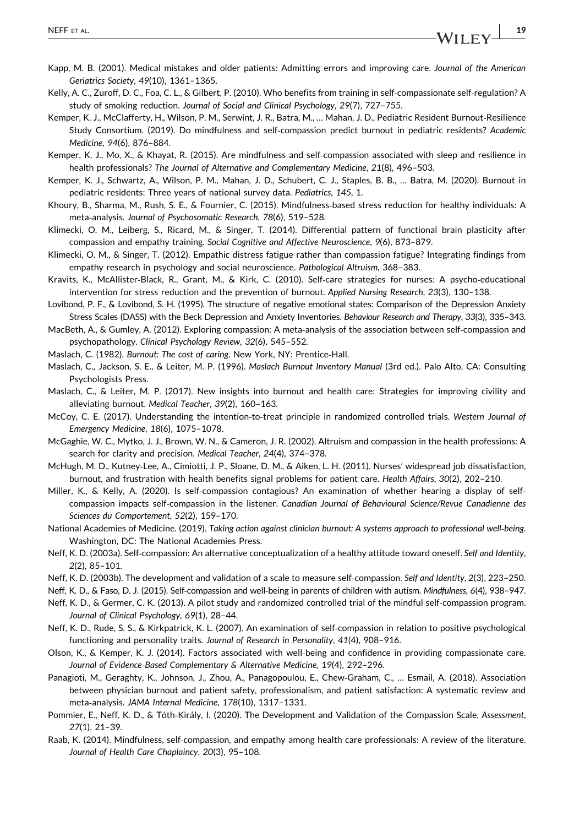- <span id="page-18-25"></span>Kapp, M. B. (2001). Medical mistakes and older patients: Admitting errors and improving care. Journal of the American Geriatrics Society, 49(10), 1361–1365.
- <span id="page-18-16"></span>Kelly, A. C., Zuroff, D. C., Foa, C. L., & Gilbert, P. (2010). Who benefits from training in self‐compassionate self‐regulation? A study of smoking reduction. Journal of Social and Clinical Psychology, 29(7), 727–755.
- <span id="page-18-10"></span>Kemper, K. J., McClafferty, H., Wilson, P. M., Serwint, J. R., Batra, M., … Mahan, J. D., Pediatric Resident Burnout‐Resilience Study Consortium. (2019). Do mindfulness and self‐compassion predict burnout in pediatric residents? Academic Medicine, 94(6), 876–884.
- <span id="page-18-13"></span>Kemper, K. J., Mo, X., & Khayat, R. (2015). Are mindfulness and self‐compassion associated with sleep and resilience in health professionals? The Journal of Alternative and Complementary Medicine, 21(8), 496–503.
- <span id="page-18-12"></span>Kemper, K. J., Schwartz, A., Wilson, P. M., Mahan, J. D., Schubert, C. J., Staples, B. B., … Batra, M. (2020). Burnout in pediatric residents: Three years of national survey data. Pediatrics, 145, 1.
- <span id="page-18-23"></span>Khoury, B., Sharma, M., Rush, S. E., & Fournier, C. (2015). Mindfulness‐based stress reduction for healthy individuals: A meta‐analysis. Journal of Psychosomatic Research, 78(6), 519–528.
- <span id="page-18-3"></span>Klimecki, O. M., Leiberg, S., Ricard, M., & Singer, T. (2014). Differential pattern of functional brain plasticity after compassion and empathy training. Social Cognitive and Affective Neuroscience, 9(6), 873–879.
- <span id="page-18-2"></span>Klimecki, O. M., & Singer, T. (2012). Empathic distress fatigue rather than compassion fatigue? Integrating findings from empathy research in psychology and social neuroscience. Pathological Altruism, 368–383.
- <span id="page-18-14"></span>Kravits, K., McAllister‐Black, R., Grant, M., & Kirk, C. (2010). Self‐care strategies for nurses: A psycho‐educational intervention for stress reduction and the prevention of burnout. Applied Nursing Research, 23(3), 130–138.
- <span id="page-18-17"></span>Lovibond, P. F., & Lovibond, S. H. (1995). The structure of negative emotional states: Comparison of the Depression Anxiety Stress Scales (DASS) with the Beck Depression and Anxiety Inventories. Behaviour Research and Therapy, 33(3), 335–343.
- <span id="page-18-7"></span>MacBeth, A., & Gumley, A. (2012). Exploring compassion: A meta‐analysis of the association between self‐compassion and psychopathology. Clinical Psychology Review, 32(6), 545–552.
- <span id="page-18-19"></span>Maslach, C. (1982). Burnout: The cost of caring. New York, NY: Prentice‐Hall.
- <span id="page-18-20"></span>Maslach, C., Jackson, S. E., & Leiter, M. P. (1996). Maslach Burnout Inventory Manual (3rd ed.). Palo Alto, CA: Consulting Psychologists Press.
- <span id="page-18-27"></span>Maslach, C., & Leiter, M. P. (2017). New insights into burnout and health care: Strategies for improving civility and alleviating burnout. Medical Teacher, 39(2), 160–163.
- <span id="page-18-18"></span>McCoy, C. E. (2017). Understanding the intention-to-treat principle in randomized controlled trials. Western Journal of Emergency Medicine, 18(6), 1075–1078.
- <span id="page-18-22"></span>McGaghie, W. C., Mytko, J. J., Brown, W. N., & Cameron, J. R. (2002). Altruism and compassion in the health professions: A search for clarity and precision. Medical Teacher, 24(4), 374–378.
- <span id="page-18-26"></span>McHugh, M. D., Kutney‐Lee, A., Cimiotti, J. P., Sloane, D. M., & Aiken, L. H. (2011). Nurses' widespread job dissatisfaction, burnout, and frustration with health benefits signal problems for patient care. Health Affairs, 30(2), 202–210.
- <span id="page-18-24"></span>Miller, K., & Kelly, A. (2020). Is self‐compassion contagious? An examination of whether hearing a display of self‐ compassion impacts self-compassion in the listener. Canadian Journal of Behavioural Science/Revue Canadienne des Sciences du Comportement, 52(2), 159–170.
- <span id="page-18-0"></span>National Academies of Medicine. (2019). Taking action against clinician burnout: A systems approach to professional well‐being. Washington, DC: The National Academies Press.
- <span id="page-18-5"></span>Neff, K. D. (2003a). Self‐compassion: An alternative conceptualization of a healthy attitude toward oneself. Self and Identity, 2(2), 85–101.
- <span id="page-18-6"></span>Neff, K. D. (2003b). The development and validation of a scale to measure self‐compassion. Self and Identity, 2(3), 223–250.
- <span id="page-18-9"></span>Neff, K. D., & Faso, D. J. (2015). Self‐compassion and well‐being in parents of children with autism. Mindfulness, 6(4), 938–947.
- <span id="page-18-15"></span>Neff, K. D., & Germer, C. K. (2013). A pilot study and randomized controlled trial of the mindful self‐compassion program. Journal of Clinical Psychology, 69(1), 28–44.
- <span id="page-18-8"></span>Neff, K. D., Rude, S. S., & Kirkpatrick, K. L. (2007). An examination of self‐compassion in relation to positive psychological functioning and personality traits. Journal of Research in Personality, 41(4), 908–916.
- <span id="page-18-11"></span>Olson, K., & Kemper, K. J. (2014). Factors associated with well‐being and confidence in providing compassionate care. Journal of Evidence‐Based Complementary & Alternative Medicine, 19(4), 292–296.
- <span id="page-18-1"></span>Panagioti, M., Geraghty, K., Johnson, J., Zhou, A., Panagopoulou, E., Chew‐Graham, C., … Esmail, A. (2018). Association between physician burnout and patient safety, professionalism, and patient satisfaction: A systematic review and meta‐analysis. JAMA Internal Medicine, 178(10), 1317–1331.
- <span id="page-18-21"></span>Pommier, E., Neff, K. D., & Tóth‐Király, I. (2020). The Development and Validation of the Compassion Scale. Assessment, 27(1), 21–39.
- <span id="page-18-4"></span>Raab, K. (2014). Mindfulness, self‐compassion, and empathy among health care professionals: A review of the literature. Journal of Health Care Chaplaincy, 20(3), 95–108.